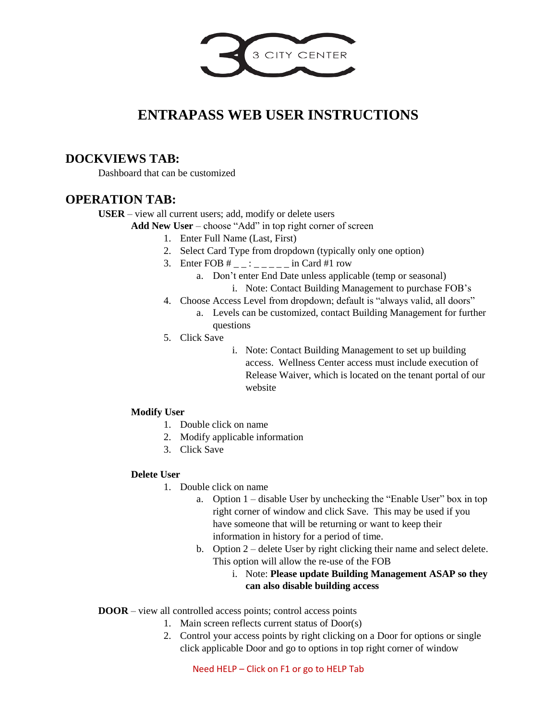

# **ENTRAPASS WEB USER INSTRUCTIONS**

# **DOCKVIEWS TAB:**

Dashboard that can be customized

## **OPERATION TAB:**

**USER** – view all current users; add, modify or delete users

Add New User – choose "Add" in top right corner of screen

- 1. Enter Full Name (Last, First)
- 2. Select Card Type from dropdown (typically only one option)
- 3. Enter FOB  $\#$  \_ \_ : \_ \_ \_ \_ \_ in Card  $\#$ 1 row
	- a. Don't enter End Date unless applicable (temp or seasonal)
		- i. Note: Contact Building Management to purchase FOB's
- 4. Choose Access Level from dropdown; default is "always valid, all doors"
	- a. Levels can be customized, contact Building Management for further questions
- 5. Click Save
- i. Note: Contact Building Management to set up building access. Wellness Center access must include execution of Release Waiver, which is located on the tenant portal of our website

### **Modify User**

- 1. Double click on name
- 2. Modify applicable information
- 3. Click Save

### **Delete User**

- 1. Double click on name
	- a. Option 1 disable User by unchecking the "Enable User" box in top right corner of window and click Save. This may be used if you have someone that will be returning or want to keep their information in history for a period of time.
	- b. Option 2 delete User by right clicking their name and select delete. This option will allow the re-use of the FOB
		- i. Note: **Please update Building Management ASAP so they can also disable building access**

**DOOR** – view all controlled access points; control access points

- 1. Main screen reflects current status of Door(s)
	- 2. Control your access points by right clicking on a Door for options or single click applicable Door and go to options in top right corner of window

Need HELP – Click on F1 or go to HELP Tab